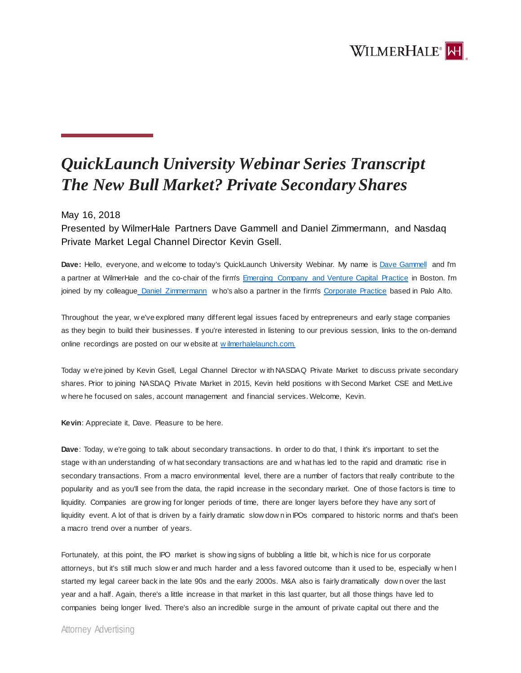

## *QuickLaunch University Webinar Series Transcript The New Bull Market? Private Secondary Shares*

## May 16, 2018

Presented by WilmerHale Partners Dave Gammell and Daniel Zimmermann, and Nasdaq Private Market Legal Channel Director Kevin Gsell.

**Dave:** Hello, everyone, and w elcome to today's QuickLaunch University Webinar. My name is [Dave Gammell](https://launch.wilmerhale.com/meet-our-team/david-gammell/) and I'm a partner at WilmerHale and the co-chair of the firm's [Emerging Company and Venture Capital Practice](https://www.wilmerhale.com/corporate/emerging-company-venture-capital/) in Boston. I'm joined by my colleague [Daniel Zimmermann](https://launch.wilmerhale.com/meet-our-team/daniel-zimmermann/) w ho's also a partner in the firm's [Corporate Practice](https://www.wilmerhale.com/corporate) based in Palo Alto.

Throughout the year, w e've explored many different legal issues faced by entrepreneurs and early stage companies as they begin to build their businesses. If you're interested in listening to our previous session, links to the on-demand online recordings are posted on our w ebsite at [w ilmerhalelaunch.com.](https://launch.wilmerhale.com/) 

Today w e're joined by Kevin Gsell, Legal Channel Director w ith NASDAQ Private Market to discuss private secondary shares. Prior to joining NASDAQ Private Market in 2015, Kevin held positions w ith Second Market CSE and MetLive w here he focused on sales, account management and financial services. Welcome, Kevin.

**Kevin**: Appreciate it, Dave. Pleasure to be here.

**Dave**: Today, w e're going to talk about secondary transactions. In order to do that, I think it's important to set the stage w ith an understanding of w hat secondary transactions are and w hat has led to the rapid and dramatic rise in secondary transactions. From a macro environmental level, there are a number of factors that really contribute to the popularity and as you'll see from the data, the rapid increase in the secondary market. One of those factors is time to liquidity. Companies are grow ing for longer periods of time, there are longer layers before they have any sort of liquidity event. A lot of that is driven by a fairly dramatic slow dow n in IPOs compared to historic norms and that's been a macro trend over a number of years.

Fortunately, at this point, the IPO market is show ing signs of bubbling a little bit, w hich is nice for us corporate attorneys, but it's still much slow er and much harder and a less favored outcome than it used to be, especially w hen I started my legal career back in the late 90s and the early 2000s. M&A also is fairly dramatically dow n over the last year and a half. Again, there's a little increase in that market in this last quarter, but all those things have led to companies being longer lived. There's also an incredible surge in the amount of private capital out there and the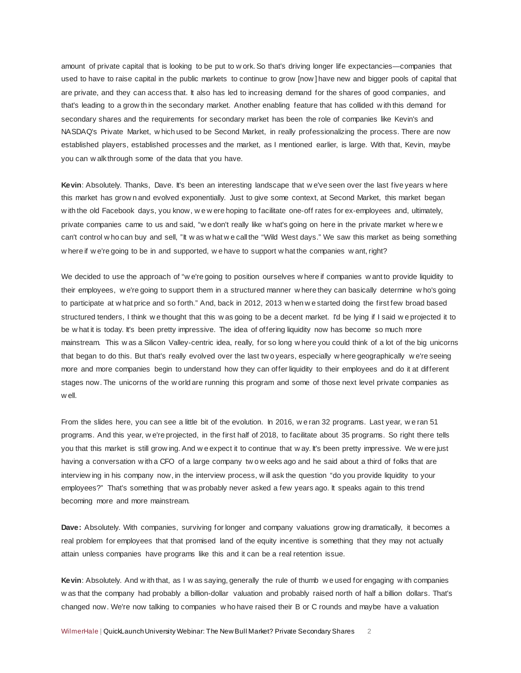amount of private capital that is looking to be put to w ork. So that's driving longer life expectancies—companies that used to have to raise capital in the public markets to continue to grow [now ] have new and bigger pools of capital that are private, and they can access that. It also has led to increasing demand for the shares of good companies, and that's leading to a grow th in the secondary market. Another enabling feature that has collided w ith this demand for secondary shares and the requirements for secondary market has been the role of companies like Kevin's and NASDAQ's Private Market, w hich used to be Second Market, in really professionalizing the process. There are now established players, established processes and the market, as I mentioned earlier, is large. With that, Kevin, maybe you can w alk through some of the data that you have.

**Kevin**: Absolutely. Thanks, Dave. It's been an interesting landscape that w e've seen over the last five years w here this market has grow n and evolved exponentially. Just to give some context, at Second Market, this market began w ith the old Facebook days, you know, w e w ere hoping to facilitate one-off rates for ex-employees and, ultimately, private companies came to us and said, "w e don't really like w hat's going on here in the private market w here w e can't control w ho can buy and sell, "It w as w hat w e call the "Wild West days." We saw this market as being something w here if w e're going to be in and supported, w e have to support w hat the companies w ant, right?

We decided to use the approach of "w e're going to position ourselves w here if companies w ant to provide liquidity to their employees, w e're going to support them in a structured manner w here they can basically determine w ho's going to participate at w hat price and so forth." And, back in 2012, 2013 w hen w e started doing the first few broad based structured tenders, I think w e thought that this w as going to be a decent market. I'd be lying if I said w e projected it to be w hat it is today. It's been pretty impressive. The idea of offering liquidity now has become so much more mainstream. This w as a Silicon Valley-centric idea, really, for so long w here you could think of a lot of the big unicorns that began to do this. But that's really evolved over the last tw o years, especially w here geographically w e're seeing more and more companies begin to understand how they can offer liquidity to their employees and do it at different stages now. The unicorns of the w orld are running this program and some of those next level private companies as w ell.

From the slides here, you can see a little bit of the evolution. In 2016, w e ran 32 programs. Last year, w e ran 51 programs. And this year, w e're projected, in the first half of 2018, to facilitate about 35 programs. So right there tells you that this market is still grow ing. And w e expect it to continue that w ay. It's been pretty impressive. We w ere just having a conversation w ith a CFO of a large company tw o w eeks ago and he said about a third of folks that are interview ing in his company now, in the interview process, w ill ask the question "do you provide liquidity to your employees?" That's something that w as probably never asked a few years ago. It speaks again to this trend becoming more and more mainstream.

**Dave:** Absolutely. With companies, surviving for longer and company valuations grow ing dramatically, it becomes a real problem for employees that that promised land of the equity incentive is something that they may not actually attain unless companies have programs like this and it can be a real retention issue.

**Kevin**: Absolutely. And w ith that, as I w as saying, generally the rule of thumb w e used for engaging w ith companies w as that the company had probably a billion-dollar valuation and probably raised north of half a billion dollars. That's changed now. We're now talking to companies w ho have raised their B or C rounds and maybe have a valuation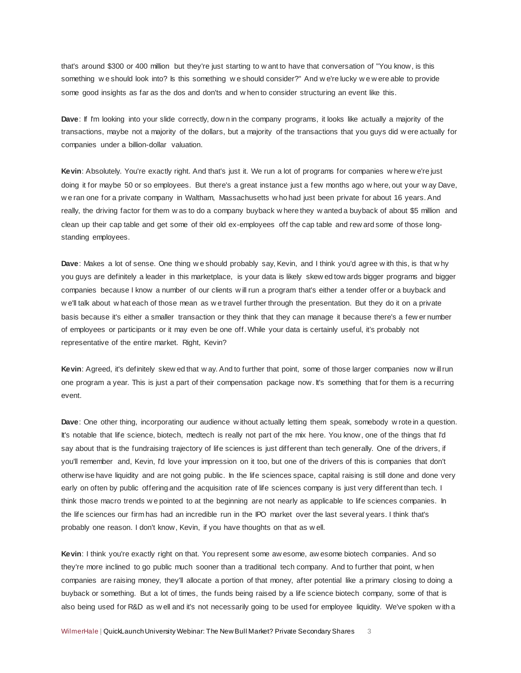that's around \$300 or 400 million but they're just starting to w ant to have that conversation of "You know, is this something w e should look into? Is this something w e should consider?" And w e're lucky w e w ere able to provide some good insights as far as the dos and don'ts and w hen to consider structuring an event like this.

**Dave**: If I'm looking into your slide correctly, dow n in the company programs, it looks like actually a majority of the transactions, maybe not a majority of the dollars, but a majority of the transactions that you guys did w ere actually for companies under a billion-dollar valuation.

**Kevin**: Absolutely. You're exactly right. And that's just it. We run a lot of programs for companies w here w e're just doing it for maybe 50 or so employees. But there's a great instance just a few months ago w here, out your w ay Dave, w e ran one for a private company in Waltham, Massachusetts w ho had just been private for about 16 years. And really, the driving factor for them w as to do a company buyback w here they w anted a buyback of about \$5 million and clean up their cap table and get some of their old ex-employees off the cap table and rew ard some of those longstanding employees.

**Dave**: Makes a lot of sense. One thing w e should probably say, Kevin, and I think you'd agree w ith this, is that w hy you guys are definitely a leader in this marketplace, is your data is likely skew ed tow ards bigger programs and bigger companies because I know a number of our clients w ill run a program that's either a tender offer or a buyback and w e'll talk about w hat each of those mean as w e travel further through the presentation. But they do it on a private basis because it's either a smaller transaction or they think that they can manage it because there's a few er number of employees or participants or it may even be one off. While your data is certainly useful, it's probably not representative of the entire market. Right, Kevin?

**Kevin**: Agreed, it's definitely skew ed that w ay. And to further that point, some of those larger companies now w ill run one program a year. This is just a part of their compensation package now. It's something that for them is a recurring event.

**Dave**: One other thing, incorporating our audience w ithout actually letting them speak, somebody w rote in a question. It's notable that life science, biotech, medtech is really not part of the mix here. You know, one of the things that I'd say about that is the fundraising trajectory of life sciences is just different than tech generally. One of the drivers, if you'll remember and, Kevin, I'd love your impression on it too, but one of the drivers of this is companies that don't otherw ise have liquidity and are not going public. In the life sciences space, capital raising is still done and done very early on often by public offering and the acquisition rate of life sciences company is just very different than tech. I think those macro trends w e pointed to at the beginning are not nearly as applicable to life sciences companies. In the life sciences our firm has had an incredible run in the IPO market over the last several years. I think that's probably one reason. I don't know, Kevin, if you have thoughts on that as w ell.

**Kevin**: I think you're exactly right on that. You represent some aw esome, aw esome biotech companies. And so they're more inclined to go public much sooner than a traditional tech company. And to further that point, w hen companies are raising money, they'll allocate a portion of that money, after potential like a primary closing to doing a buyback or something. But a lot of times, the funds being raised by a life science biotech company, some of that is also being used for R&D as w ell and it's not necessarily going to be used for employee liquidity. We've spoken w ith a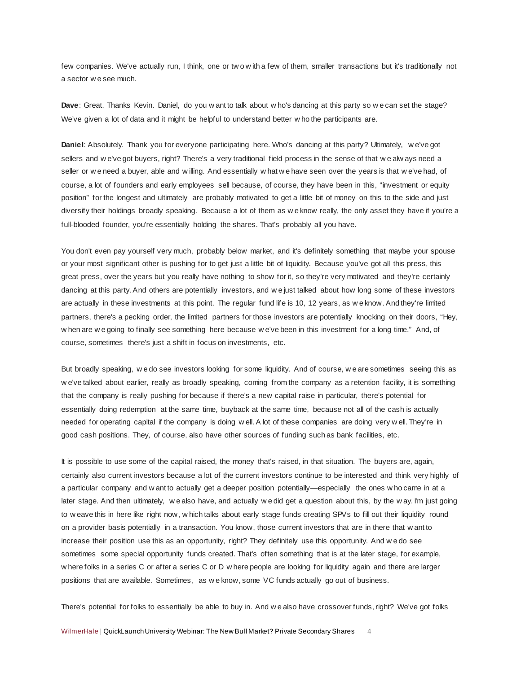few companies. We've actually run, I think, one or two with a few of them, smaller transactions but it's traditionally not a sector w e see much.

**Dave**: Great. Thanks Kevin. Daniel, do you w ant to talk about w ho's dancing at this party so w e can set the stage? We've given a lot of data and it might be helpful to understand better w ho the participants are.

**Daniel**: Absolutely. Thank you for everyone participating here. Who's dancing at this party? Ultimately, w e've got sellers and w e've got buyers, right? There's a very traditional field process in the sense of that w e alw ays need a seller or w e need a buyer, able and w illing. And essentially w hat w e have seen over the years is that w e've had, of course, a lot of founders and early employees sell because, of course, they have been in this, "investment or equity position" for the longest and ultimately are probably motivated to get a little bit of money on this to the side and just diversify their holdings broadly speaking. Because a lot of them as w e know really, the only asset they have if you're a full-blooded founder, you're essentially holding the shares. That's probably all you have.

You don't even pay yourself very much, probably below market, and it's definitely something that maybe your spouse or your most significant other is pushing for to get just a little bit of liquidity. Because you've got all this press, this great press, over the years but you really have nothing to show for it, so they're very motivated and they're certainly dancing at this party. And others are potentially investors, and w e just talked about how long some of these investors are actually in these investments at this point. The regular fund life is 10, 12 years, as w e know. And they're limited partners, there's a pecking order, the limited partners for those investors are potentially knocking on their doors, "Hey, w hen are w e going to finally see something here because w e've been in this investment for a long time." And, of course, sometimes there's just a shift in focus on investments, etc.

But broadly speaking, w e do see investors looking for some liquidity. And of course, w e are sometimes seeing this as w e've talked about earlier, really as broadly speaking, coming from the company as a retention facility, it is something that the company is really pushing for because if there's a new capital raise in particular, there's potential for essentially doing redemption at the same time, buyback at the same time, because not all of the cash is actually needed for operating capital if the company is doing w ell. A lot of these companies are doing very w ell. They're in good cash positions. They, of course, also have other sources of funding such as bank facilities, etc.

It is possible to use some of the capital raised, the money that's raised, in that situation. The buyers are, again, certainly also current investors because a lot of the current investors continue to be interested and think very highly of a particular company and w ant to actually get a deeper position potentially—especially the ones w ho came in at a later stage. And then ultimately, w e also have, and actually w e did get a question about this, by the w ay. I'm just going to w eave this in here like right now, w hich talks about early stage funds creating SPVs to fill out their liquidity round on a provider basis potentially in a transaction. You know, those current investors that are in there that w ant to increase their position use this as an opportunity, right? They definitely use this opportunity. And w e do see sometimes some special opportunity funds created. That's often something that is at the later stage, for example, w here folks in a series C or after a series C or D w here people are looking for liquidity again and there are larger positions that are available. Sometimes, as w e know, some VC funds actually go out of business.

There's potential for folks to essentially be able to buy in. And w e also have crossover funds, right? We've got folks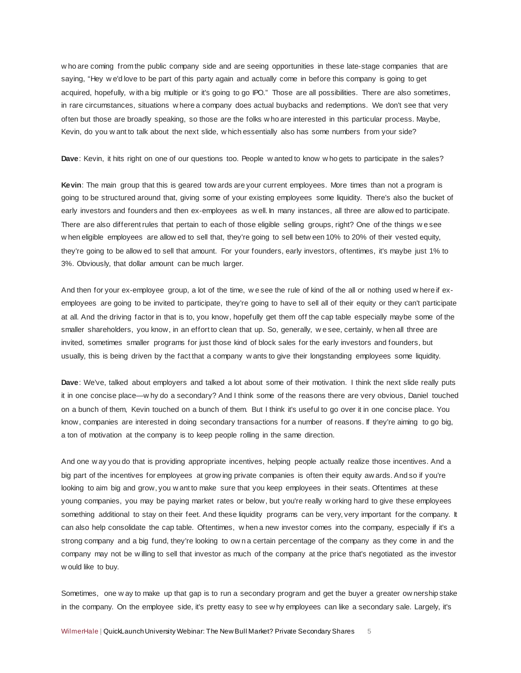w ho are coming from the public company side and are seeing opportunities in these late-stage companies that are saying, "Hey w e'd love to be part of this party again and actually come in before this company is going to get acquired, hopefully, w ith a big multiple or it's going to go IPO." Those are all possibilities. There are also sometimes, in rare circumstances, situations w here a company does actual buybacks and redemptions. We don't see that very often but those are broadly speaking, so those are the folks w ho are interested in this particular process. Maybe, Kevin, do you w ant to talk about the next slide, w hich essentially also has some numbers from your side?

**Dave**: Kevin, it hits right on one of our questions too. People w anted to know w ho gets to participate in the sales?

**Kevin**: The main group that this is geared tow ards are your current employees. More times than not a program is going to be structured around that, giving some of your existing employees some liquidity. There's also the bucket of early investors and founders and then ex-employees as w ell. In many instances, all three are allow ed to participate. There are also different rules that pertain to each of those eligible selling groups, right? One of the things w e see w hen eligible employees are allow ed to sell that, they're going to sell betw een 10% to 20% of their vested equity, they're going to be allow ed to sell that amount. For your founders, early investors, oftentimes, it's maybe just 1% to 3%. Obviously, that dollar amount can be much larger.

And then for your ex-employee group, a lot of the time, w e see the rule of kind of the all or nothing used w here if exemployees are going to be invited to participate, they're going to have to sell all of their equity or they can't participate at all. And the driving factor in that is to, you know, hopefully get them off the cap table especially maybe some of the smaller shareholders, you know, in an effort to clean that up. So, generally, w e see, certainly, w hen all three are invited, sometimes smaller programs for just those kind of block sales for the early investors and founders, but usually, this is being driven by the fact that a company w ants to give their longstanding employees some liquidity.

**Dave**: We've, talked about employers and talked a lot about some of their motivation. I think the next slide really puts it in one concise place—w hy do a secondary? And I think some of the reasons there are very obvious, Daniel touched on a bunch of them, Kevin touched on a bunch of them. But I think it's useful to go over it in one concise place. You know, companies are interested in doing secondary transactions for a number of reasons. If they're aiming to go big, a ton of motivation at the company is to keep people rolling in the same direction.

And one w ay you do that is providing appropriate incentives, helping people actually realize those incentives. And a big part of the incentives for employees at grow ing private companies is often their equity aw ards. And so if you're looking to aim big and grow, you w ant to make sure that you keep employees in their seats. Oftentimes at these young companies, you may be paying market rates or below, but you're really w orking hard to give these employees something additional to stay on their feet. And these liquidity programs can be very, very important for the company. It can also help consolidate the cap table. Oftentimes, w hen a new investor comes into the company, especially if it's a strong company and a big fund, they're looking to ow n a certain percentage of the company as they come in and the company may not be w illing to sell that investor as much of the company at the price that's negotiated as the investor w ould like to buy.

Sometimes, one w ay to make up that gap is to run a secondary program and get the buyer a greater ow nership stake in the company. On the employee side, it's pretty easy to see w hy employees can like a secondary sale. Largely, it's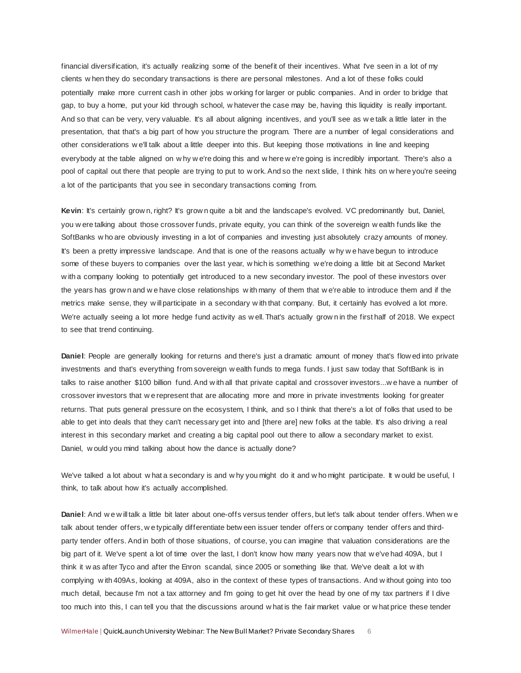financial diversification, it's actually realizing some of the benefit of their incentives. What I've seen in a lot of my clients w hen they do secondary transactions is there are personal milestones. And a lot of these folks could potentially make more current cash in other jobs w orking for larger or public companies. And in order to bridge that gap, to buy a home, put your kid through school, w hatever the case may be, having this liquidity is really important. And so that can be very, very valuable. It's all about aligning incentives, and you'll see as w e talk a little later in the presentation, that that's a big part of how you structure the program. There are a number of legal considerations and other considerations w e'll talk about a little deeper into this. But keeping those motivations in line and keeping everybody at the table aligned on w hy w e're doing this and w here w e're going is incredibly important. There's also a pool of capital out there that people are trying to put to w ork. And so the next slide, I think hits on w here you're seeing a lot of the participants that you see in secondary transactions coming from.

Kevin: It's certainly grow n, right? It's grow n quite a bit and the landscape's evolved. VC predominantly but, Daniel, you w ere talking about those crossover funds, private equity, you can think of the sovereign w ealth funds like the SoftBanks w ho are obviously investing in a lot of companies and investing just absolutely crazy amounts of money. It's been a pretty impressive landscape. And that is one of the reasons actually w hy w e have begun to introduce some of these buyers to companies over the last year, w hich is something w e're doing a little bit at Second Market w ith a company looking to potentially get introduced to a new secondary investor. The pool of these investors over the years has grow n and w e have close relationships w ith many of them that w e're able to introduce them and if the metrics make sense, they w ill participate in a secondary w ith that company. But, it certainly has evolved a lot more. We're actually seeing a lot more hedge fund activity as well. That's actually grown in the first half of 2018. We expect to see that trend continuing.

**Daniel**: People are generally looking for returns and there's just a dramatic amount of money that's flow ed into private investments and that's everything from sovereign w ealth funds to mega funds. I just saw today that SoftBank is in talks to raise another \$100 billion fund. And w ith all that private capital and crossover investors...w e have a number of crossover investors that w e represent that are allocating more and more in private investments looking for greater returns. That puts general pressure on the ecosystem, I think, and so I think that there's a lot of folks that used to be able to get into deals that they can't necessary get into and [there are] new folks at the table. It's also driving a real interest in this secondary market and creating a big capital pool out there to allow a secondary market to exist. Daniel, w ould you mind talking about how the dance is actually done?

We've talked a lot about w hat a secondary is and w hy you might do it and w ho might participate. It w ould be useful, I think, to talk about how it's actually accomplished.

**Daniel**: And w e w ill talk a little bit later about one-offs versus tender offers, but let's talk about tender offers. When w e talk about tender offers, w e typically differentiate betw een issuer tender offers or company tender offers and thirdparty tender offers. And in both of those situations, of course, you can imagine that valuation considerations are the big part of it. We've spent a lot of time over the last, I don't know how many years now that w e've had 409A, but I think it w as after Tyco and after the Enron scandal, since 2005 or something like that. We've dealt a lot w ith complying w ith 409As, looking at 409A, also in the context of these types of transactions. And w ithout going into too much detail, because I'm not a tax attorney and I'm going to get hit over the head by one of my tax partners if I dive too much into this, I can tell you that the discussions around w hat is the fair market value or w hat price these tender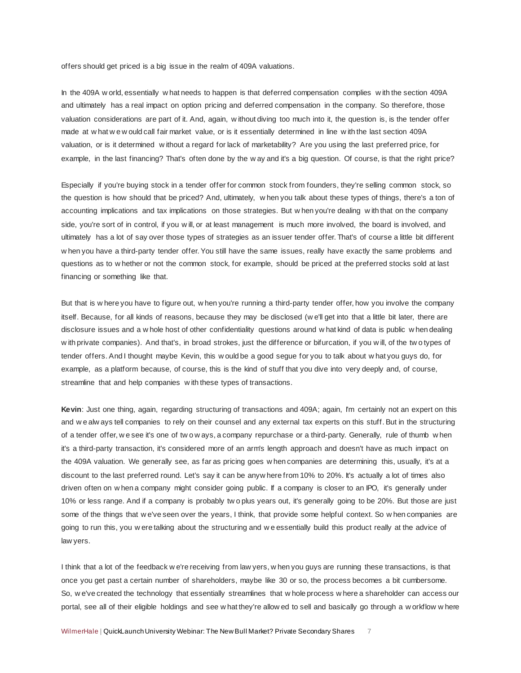offers should get priced is a big issue in the realm of 409A valuations.

In the 409A w orld, essentially w hat needs to happen is that deferred compensation complies w ith the section 409A and ultimately has a real impact on option pricing and deferred compensation in the company. So therefore, those valuation considerations are part of it. And, again, w ithout diving too much into it, the question is, is the tender offer made at w hat w e w ould call fair market value, or is it essentially determined in line w ith the last section 409A valuation, or is it determined w ithout a regard for lack of marketability? Are you using the last preferred price, for example, in the last financing? That's often done by the w ay and it's a big question. Of course, is that the right price?

Especially if you're buying stock in a tender offer for common stock from founders, they're selling common stock, so the question is how should that be priced? And, ultimately, w hen you talk about these types of things, there's a ton of accounting implications and tax implications on those strategies. But w hen you're dealing w ith that on the company side, you're sort of in control, if you will, or at least management is much more involved, the board is involved, and ultimately has a lot of say over those types of strategies as an issuer tender offer. That's of course a little bit different w hen you have a third-party tender offer. You still have the same issues, really have exactly the same problems and questions as to w hether or not the common stock, for example, should be priced at the preferred stocks sold at last financing or something like that.

But that is w here you have to figure out, w hen you're running a third-party tender offer, how you involve the company itself. Because, for all kinds of reasons, because they may be disclosed (w e'll get into that a little bit later, there are disclosure issues and a w hole host of other confidentiality questions around w hat kind of data is public w hen dealing w ith private companies). And that's, in broad strokes, just the difference or bifurcation, if you w ill, of the tw o types of tender offers. And I thought maybe Kevin, this w ould be a good segue for you to talk about w hat you guys do, for example, as a platform because, of course, this is the kind of stuff that you dive into very deeply and, of course, streamline that and help companies w ith these types of transactions.

**Kevin**: Just one thing, again, regarding structuring of transactions and 409A; again, I'm certainly not an expert on this and w e alw ays tell companies to rely on their counsel and any external tax experts on this stuff. But in the structuring of a tender offer, w e see it's one of tw o w ays, a company repurchase or a third-party. Generally, rule of thumb w hen it's a third-party transaction, it's considered more of an arm's length approach and doesn't have as much impact on the 409A valuation. We generally see, as far as pricing goes w hen companies are determining this, usually, it's at a discount to the last preferred round. Let's say it can be anyw here from 10% to 20%. It's actually a lot of times also driven often on w hen a company might consider going public. If a company is closer to an IPO, it's generally under 10% or less range. And if a company is probably tw o plus years out, it's generally going to be 20%. But those are just some of the things that w e've seen over the years, I think, that provide some helpful context. So w hen companies are going to run this, you w ere talking about the structuring and w e essentially build this product really at the advice of law yers.

I think that a lot of the feedback w e're receiving from law yers, w hen you guys are running these transactions, is that once you get past a certain number of shareholders, maybe like 30 or so, the process becomes a bit cumbersome. So, w e've created the technology that essentially streamlines that w hole process w here a shareholder can access our portal, see all of their eligible holdings and see w hat they're allow ed to sell and basically go through a w orkflow w here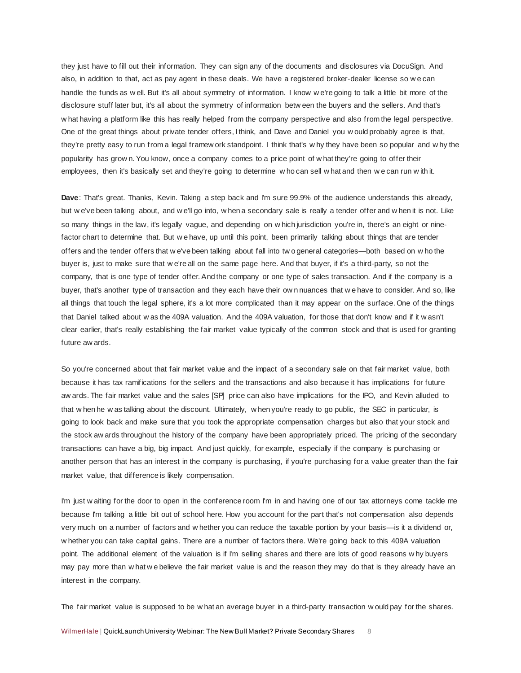they just have to fill out their information. They can sign any of the documents and disclosures via DocuSign. And also, in addition to that, act as pay agent in these deals. We have a registered broker-dealer license so w e can handle the funds as w ell. But it's all about symmetry of information. I know w e're going to talk a little bit more of the disclosure stuff later but, it's all about the symmetry of information betw een the buyers and the sellers. And that's w hat having a platform like this has really helped from the company perspective and also from the legal perspective. One of the great things about private tender offers, I think, and Dave and Daniel you w ould probably agree is that, they're pretty easy to run from a legal framew ork standpoint. I think that's w hy they have been so popular and w hy the popularity has grow n. You know, once a company comes to a price point of w hat they're going to offer their employees, then it's basically set and they're going to determine w ho can sell w hat and then w e can run w ith it.

**Dave**: That's great. Thanks, Kevin. Taking a step back and I'm sure 99.9% of the audience understands this already, but w e've been talking about, and w e'll go into, w hen a secondary sale is really a tender offer and w hen it is not. Like so many things in the law, it's legally vague, and depending on w hich jurisdiction you're in, there's an eight or ninefactor chart to determine that. But w e have, up until this point, been primarily talking about things that are tender offers and the tender offers that w e've been talking about fall into tw o general categories—both based on w ho the buyer is, just to make sure that w e're all on the same page here. And that buyer, if it's a third-party, so not the company, that is one type of tender offer. And the company or one type of sales transaction. And if the company is a buyer, that's another type of transaction and they each have their ow n nuances that w e have to consider. And so, like all things that touch the legal sphere, it's a lot more complicated than it may appear on the surface. One of the things that Daniel talked about w as the 409A valuation. And the 409A valuation, for those that don't know and if it w asn't clear earlier, that's really establishing the fair market value typically of the common stock and that is used for granting future aw ards.

So you're concerned about that fair market value and the impact of a secondary sale on that fair market value, both because it has tax ramifications for the sellers and the transactions and also because it has implications for future aw ards. The fair market value and the sales [SP] price can also have implications for the IPO, and Kevin alluded to that w hen he w as talking about the discount. Ultimately, w hen you're ready to go public, the SEC in particular, is going to look back and make sure that you took the appropriate compensation charges but also that your stock and the stock aw ards throughout the history of the company have been appropriately priced. The pricing of the secondary transactions can have a big, big impact. And just quickly, for example, especially if the company is purchasing or another person that has an interest in the company is purchasing, if you're purchasing for a value greater than the fair market value, that difference is likely compensation.

I'm just w aiting for the door to open in the conference room I'm in and having one of our tax attorneys come tackle me because I'm talking a little bit out of school here. How you account for the part that's not compensation also depends very much on a number of factors and w hether you can reduce the taxable portion by your basis—is it a dividend or, w hether you can take capital gains. There are a number of factors there. We're going back to this 409A valuation point. The additional element of the valuation is if I'm selling shares and there are lots of good reasons w hy buyers may pay more than w hat w e believe the fair market value is and the reason they may do that is they already have an interest in the company.

The fair market value is supposed to be w hat an average buyer in a third-party transaction w ould pay for the shares.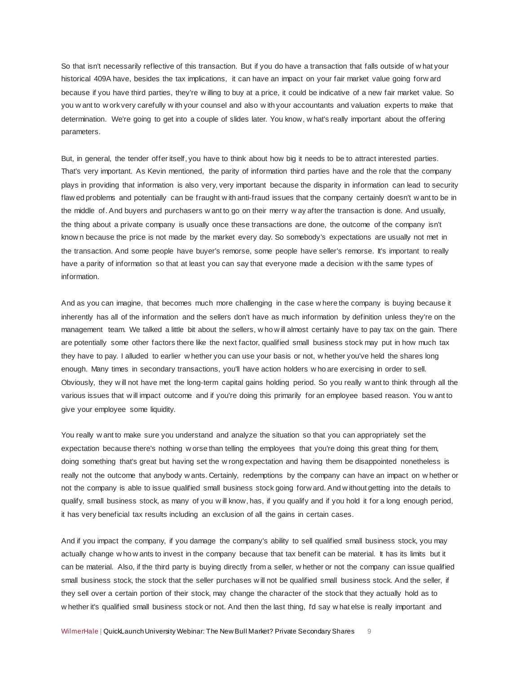So that isn't necessarily reflective of this transaction. But if you do have a transaction that falls outside of w hat your historical 409A have, besides the tax implications, it can have an impact on your fair market value going forw ard because if you have third parties, they're w illing to buy at a price, it could be indicative of a new fair market value. So you w ant to w ork very carefully w ith your counsel and also w ith your accountants and valuation experts to make that determination. We're going to get into a couple of slides later. You know, w hat's really important about the offering parameters.

But, in general, the tender offer itself, you have to think about how big it needs to be to attract interested parties. That's very important. As Kevin mentioned, the parity of information third parties have and the role that the company plays in providing that information is also very, very important because the disparity in information can lead to security flaw ed problems and potentially can be fraught w ith anti-fraud issues that the company certainly doesn't w ant to be in the middle of. And buyers and purchasers w ant to go on their merry w ay after the transaction is done. And usually, the thing about a private company is usually once these transactions are done, the outcome of the company isn't know n because the price is not made by the market every day. So somebody's expectations are usually not met in the transaction. And some people have buyer's remorse, some people have seller's remorse. It's important to really have a parity of information so that at least you can say that everyone made a decision w ith the same types of information.

And as you can imagine, that becomes much more challenging in the case w here the company is buying because it inherently has all of the information and the sellers don't have as much information by definition unless they're on the management team. We talked a little bit about the sellers, w ho w ill almost certainly have to pay tax on the gain. There are potentially some other factors there like the next factor, qualified small business stock may put in how much tax they have to pay. I alluded to earlier w hether you can use your basis or not, w hether you've held the shares long enough. Many times in secondary transactions, you'll have action holders w ho are exercising in order to sell. Obviously, they w ill not have met the long-term capital gains holding period. So you really w ant to think through all the various issues that w ill impact outcome and if you're doing this primarily for an employee based reason. You w ant to give your employee some liquidity.

You really w ant to make sure you understand and analyze the situation so that you can appropriately set the expectation because there's nothing w orse than telling the employees that you're doing this great thing for them, doing something that's great but having set the w rong expectation and having them be disappointed nonetheless is really not the outcome that anybody w ants. Certainly, redemptions by the company can have an impact on w hether or not the company is able to issue qualified small business stock going forw ard. And w ithout getting into the details to qualify, small business stock, as many of you w ill know, has, if you qualify and if you hold it for a long enough period, it has very beneficial tax results including an exclusion of all the gains in certain cases.

And if you impact the company, if you damage the company's ability to sell qualified small business stock, you may actually change w ho w ants to invest in the company because that tax benefit can be material. It has its limits but it can be material. Also, if the third party is buying directly from a seller, w hether or not the company can issue qualified small business stock, the stock that the seller purchases w ill not be qualified small business stock. And the seller, if they sell over a certain portion of their stock, may change the character of the stock that they actually hold as to w hether it's qualified small business stock or not. And then the last thing, I'd say w hat else is really important and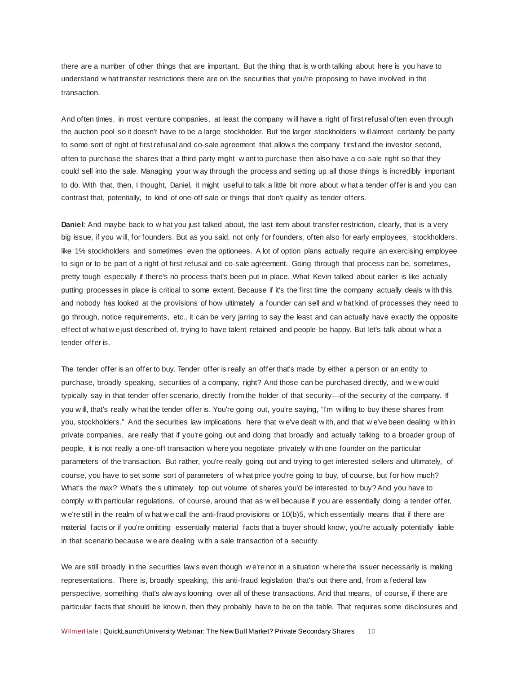there are a number of other things that are important. But the thing that is w orth talking about here is you have to understand w hat transfer restrictions there are on the securities that you're proposing to have involved in the transaction.

And often times, in most venture companies, at least the company w ill have a right of first refusal often even through the auction pool so it doesn't have to be a large stockholder. But the larger stockholders w ill almost certainly be party to some sort of right of first refusal and co-sale agreement that allow s the company first and the investor second, often to purchase the shares that a third party might w ant to purchase then also have a co-sale right so that they could sell into the sale. Managing your w ay through the process and setting up all those things is incredibly important to do. With that, then, I thought, Daniel, it might useful to talk a little bit more about w hat a tender offer is and you can contrast that, potentially, to kind of one-off sale or things that don't qualify as tender offers.

**Daniel**: And maybe back to w hat you just talked about, the last item about transfer restriction, clearly, that is a very big issue, if you w ill, for founders. But as you said, not only for founders, often also for early employees, stockholders, like 1% stockholders and sometimes even the optionees. A lot of option plans actually require an exercising employee to sign or to be part of a right of first refusal and co-sale agreement. Going through that process can be, sometimes, pretty tough especially if there's no process that's been put in place. What Kevin talked about earlier is like actually putting processes in place is critical to some extent. Because if it's the first time the company actually deals w ith this and nobody has looked at the provisions of how ultimately a founder can sell and w hat kind of processes they need to go through, notice requirements, etc., it can be very jarring to say the least and can actually have exactly the opposite effect of w hat w e just described of, trying to have talent retained and people be happy. But let's talk about w hat a tender offer is.

The tender offer is an offer to buy. Tender offer is really an offer that's made by either a person or an entity to purchase, broadly speaking, securities of a company, right? And those can be purchased directly, and w e w ould typically say in that tender offer scenario, directly from the holder of that security—of the security of the company. If you w ill, that's really w hat the tender offer is. You're going out, you're saying, "I'm w illing to buy these shares from you, stockholders." And the securities law implications here that w e've dealt w ith, and that w e've been dealing w ith in private companies, are really that if you're going out and doing that broadly and actually talking to a broader group of people, it is not really a one-off transaction w here you negotiate privately w ith one founder on the particular parameters of the transaction. But rather, you're really going out and trying to get interested sellers and ultimately, of course, you have to set some sort of parameters of w hat price you're going to buy, of course, but for how much? What's the max? What's the s ultimately top out volume of shares you'd be interested to buy? And you have to comply w ith particular regulations, of course, around that as w ell because if you are essentially doing a tender offer, w e're still in the realm of w hat w e call the anti-fraud provisions or 10(b)5, w hich essentially means that if there are material facts or if you're omitting essentially material facts that a buyer should know, you're actually potentially liable in that scenario because w e are dealing w ith a sale transaction of a security.

We are still broadly in the securities law s even though w e're not in a situation w here the issuer necessarily is making representations. There is, broadly speaking, this anti-fraud legislation that's out there and, from a federal law perspective, something that's alw ays looming over all of these transactions. And that means, of course, if there are particular facts that should be know n, then they probably have to be on the table. That requires some disclosures and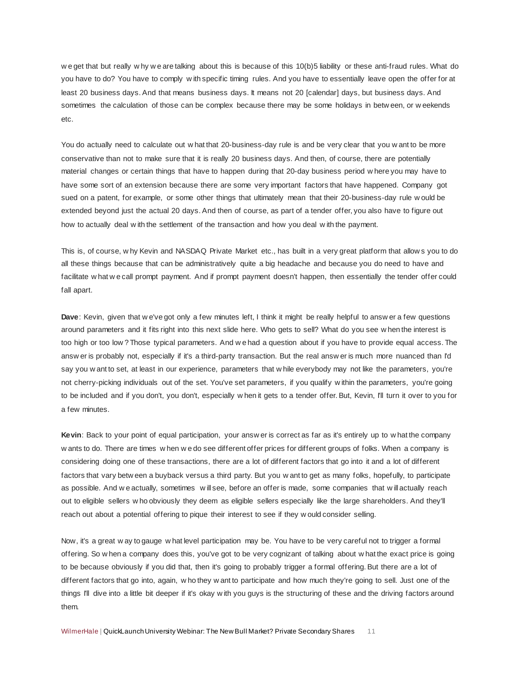w e get that but really w hy w e are talking about this is because of this 10(b)5 liability or these anti-fraud rules. What do you have to do? You have to comply w ith specific timing rules. And you have to essentially leave open the offer for at least 20 business days. And that means business days. It means not 20 [calendar] days, but business days. And sometimes the calculation of those can be complex because there may be some holidays in betw een, or w eekends etc.

You do actually need to calculate out w hat that 20-business-day rule is and be very clear that you w ant to be more conservative than not to make sure that it is really 20 business days. And then, of course, there are potentially material changes or certain things that have to happen during that 20-day business period w here you may have to have some sort of an extension because there are some very important factors that have happened. Company got sued on a patent, for example, or some other things that ultimately mean that their 20-business-day rule w ould be extended beyond just the actual 20 days. And then of course, as part of a tender offer, you also have to figure out how to actually deal w ith the settlement of the transaction and how you deal w ith the payment.

This is, of course, w hy Kevin and NASDAQ Private Market etc., has built in a very great platform that allow s you to do all these things because that can be administratively quite a big headache and because you do need to have and facilitate w hat w e call prompt payment. And if prompt payment doesn't happen, then essentially the tender offer could fall apart.

**Dave**: Kevin, given that w e've got only a few minutes left, I think it might be really helpful to answ er a few questions around parameters and it fits right into this next slide here. Who gets to sell? What do you see w hen the interest is too high or too low ? Those typical parameters. And w e had a question about if you have to provide equal access. The answ er is probably not, especially if it's a third-party transaction. But the real answ er is much more nuanced than I'd say you w ant to set, at least in our experience, parameters that w hile everybody may not like the parameters, you're not cherry-picking individuals out of the set. You've set parameters, if you qualify w ithin the parameters, you're going to be included and if you don't, you don't, especially w hen it gets to a tender offer. But, Kevin, I'll turn it over to you for a few minutes.

**Kevin**: Back to your point of equal participation, your answ er is correct as far as it's entirely up to w hat the company w ants to do. There are times w hen w e do see different offer prices for different groups of folks. When a company is considering doing one of these transactions, there are a lot of different factors that go into it and a lot of different factors that vary betw een a buyback versus a third party. But you w ant to get as many folks, hopefully, to participate as possible. And w e actually, sometimes w ill see, before an offer is made, some companies that w ill actually reach out to eligible sellers w ho obviously they deem as eligible sellers especially like the large shareholders. And they'll reach out about a potential offering to pique their interest to see if they w ould consider selling.

Now, it's a great w ay to gauge w hat level participation may be. You have to be very careful not to trigger a formal offering. So w hen a company does this, you've got to be very cognizant of talking about w hat the exact price is going to be because obviously if you did that, then it's going to probably trigger a formal offering. But there are a lot of different factors that go into, again, w ho they w ant to participate and how much they're going to sell. Just one of the things I'll dive into a little bit deeper if it's okay w ith you guys is the structuring of these and the driving factors around them.